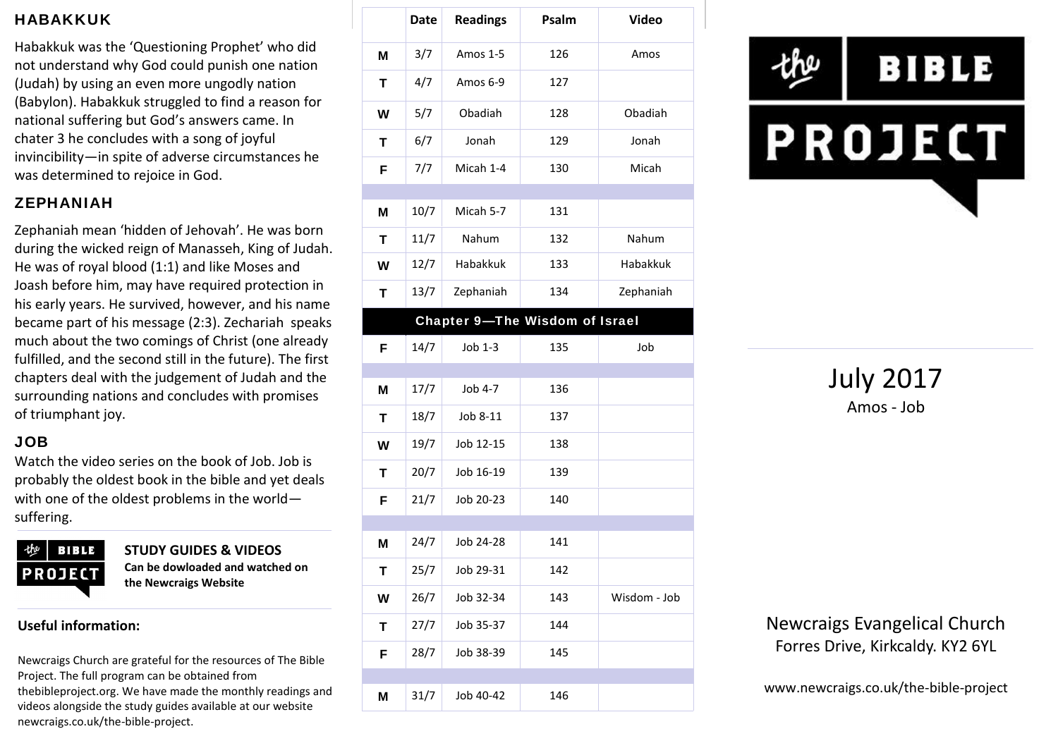### **HABAKKUK**

Habakkuk was the 'Questioning Prophet' who did not understand why God could punish one nation (Judah) by using an even more ungodly nation (Babylon). Habakkuk struggled to find a reason for national suffering but God's answers came. In chater 3 he concludes with a song of joyful invincibility—in spite of adverse circumstances he was determined to rejoice in God.

### **ZEPHANIAH**

Zephaniah mean 'hidden of Jehovah'. He was born during the wicked reign of Manasseh, King of Judah. He was of royal blood (1:1) and like Moses and Joash before him, may have required protection in his early years. He survived, however, and his name became part of his message (2:3). Zechariah speaks much about the two comings of Christ (one already fulfilled, and the second still in the future). The first chapters deal with the judgement of Judah and the surrounding nations and concludes with promises of triumphant joy.

### **JOB**

Watch the video series on the book of Job. Job is probably the oldest book in the bible and yet deals with one of the oldest problems in the world suffering.



**STUDY GUIDES & VIDEOS Can be dowloaded and watched on the Newcraigs Website**

#### **Useful information:**

Newcraigs Church are grateful for the resources of The Bible Project. The full program can be obtained from thebibleproject.org. We have made the monthly readings and videos alongside the study guides available at our website newcraigs.co.uk/the-bible-project.

|   | <b>Date</b> | <b>Readings</b> | Psalm                                 | <b>Video</b> |
|---|-------------|-----------------|---------------------------------------|--------------|
| M | 3/7         | Amos 1-5        | 126                                   | Amos         |
| Т | 4/7         | Amos 6-9        | 127                                   |              |
| W | 5/7         | Obadiah         | 128                                   | Obadiah      |
| Τ | 6/7         | Jonah           | 129                                   | Jonah        |
| F | 7/7         | Micah 1-4       | 130                                   | Micah        |
| M | 10/7        | Micah 5-7       | 131                                   |              |
| т | 11/7        | Nahum           | 132                                   | Nahum        |
| W | 12/7        | Habakkuk        | 133                                   | Habakkuk     |
| T | 13/7        | Zephaniah       | 134                                   | Zephaniah    |
|   |             |                 | <b>Chapter 9-The Wisdom of Israel</b> |              |
| F | 14/7        | Job 1-3         | 135                                   | Job          |
|   |             |                 |                                       |              |
| M | 17/7        | Job 4-7         | 136                                   |              |
| T | 18/7        | Job 8-11        | 137                                   |              |
| W | 19/7        | Job 12-15       | 138                                   |              |
| T | 20/7        | Job 16-19       | 139                                   |              |
| F | 21/7        | Job 20-23       | 140                                   |              |
|   |             |                 |                                       |              |
| M | 24/7        | Job 24-28       | 141                                   |              |
| Τ | 25/7        | Job 29-31       | 142                                   |              |
| W | 26/7        | Job 32-34       | 143                                   | Wisdom - Job |
| Τ | 27/7        | Job 35-37       | 144                                   |              |
| F | 28/7        | Job 38-39       | 145                                   |              |
| Μ | 31/7        | Job 40-42       | 146                                   |              |
|   |             |                 |                                       |              |



July 2017 Amos - Job

Newcraigs Evangelical Church Forres Drive, Kirkcaldy. KY2 6YL

www.newcraigs.co.uk/the-bible-project